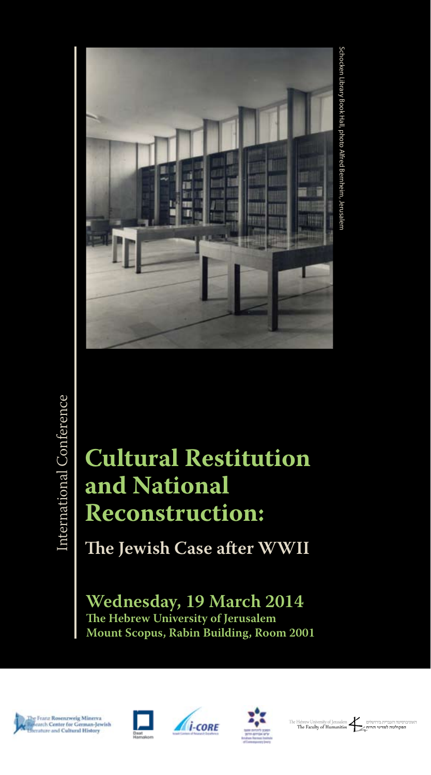

# **Cultural Restitution and National Reconstruction:**

**The Jewish Case after WWII**

**Wednesday, 19 March 2014 The Hebrew University of Jerusalem Mount Scopus, Rabin Building, Room 2001**











.<br>הפקולטה למדעי הרוח ∕